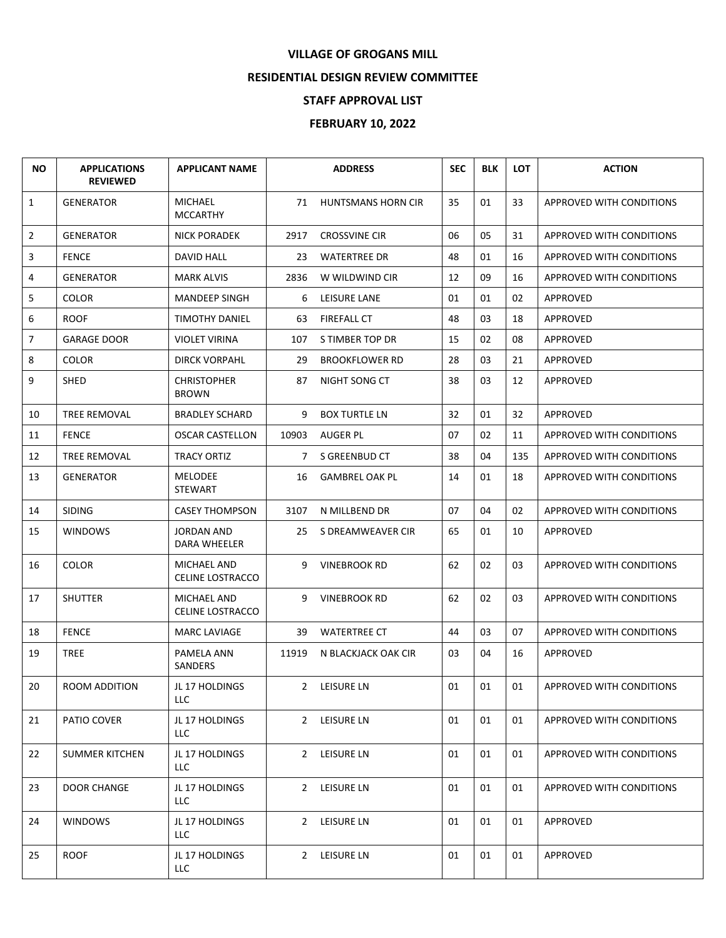## **VILLAGE OF GROGANS MILL**

## **RESIDENTIAL DESIGN REVIEW COMMITTEE**

## **STAFF APPROVAL LIST**

## **FEBRUARY 10, 2022**

| <b>NO</b>      | <b>APPLICATIONS</b><br><b>REVIEWED</b> | <b>APPLICANT NAME</b>                  |             | <b>ADDRESS</b>            | <b>SEC</b> | <b>BLK</b> | <b>LOT</b> | <b>ACTION</b>                   |
|----------------|----------------------------------------|----------------------------------------|-------------|---------------------------|------------|------------|------------|---------------------------------|
| $\mathbf{1}$   | <b>GENERATOR</b>                       | <b>MICHAEL</b><br><b>MCCARTHY</b>      | 71          | <b>HUNTSMANS HORN CIR</b> | 35         | 01         | 33         | APPROVED WITH CONDITIONS        |
| $\overline{2}$ | <b>GENERATOR</b>                       | <b>NICK PORADEK</b>                    | 2917        | <b>CROSSVINE CIR</b>      | 06         | 05         | 31         | APPROVED WITH CONDITIONS        |
| 3              | <b>FENCE</b>                           | <b>DAVID HALL</b>                      | 23          | <b>WATERTREE DR</b>       | 48         | 01         | 16         | <b>APPROVED WITH CONDITIONS</b> |
| 4              | <b>GENERATOR</b>                       | <b>MARK ALVIS</b>                      | 2836        | W WILDWIND CIR            | 12         | 09         | 16         | APPROVED WITH CONDITIONS        |
| 5              | <b>COLOR</b>                           | <b>MANDEEP SINGH</b>                   | 6           | LEISURE LANE              | 01         | 01         | 02         | APPROVED                        |
| 6              | <b>ROOF</b>                            | <b>TIMOTHY DANIEL</b>                  | 63          | <b>FIREFALL CT</b>        | 48         | 03         | 18         | APPROVED                        |
| $\overline{7}$ | <b>GARAGE DOOR</b>                     | <b>VIOLET VIRINA</b>                   | 107         | S TIMBER TOP DR           | 15         | 02         | 08         | APPROVED                        |
| 8              | <b>COLOR</b>                           | <b>DIRCK VORPAHL</b>                   | 29          | <b>BROOKFLOWER RD</b>     | 28         | 03         | 21         | APPROVED                        |
| 9              | <b>SHED</b>                            | <b>CHRISTOPHER</b><br><b>BROWN</b>     | 87          | NIGHT SONG CT             | 38         | 03         | 12         | APPROVED                        |
| 10             | TREE REMOVAL                           | <b>BRADLEY SCHARD</b>                  | 9           | <b>BOX TURTLE LN</b>      | 32         | 01         | 32         | APPROVED                        |
| 11             | <b>FENCE</b>                           | <b>OSCAR CASTELLON</b>                 | 10903       | <b>AUGER PL</b>           | 07         | 02         | 11         | APPROVED WITH CONDITIONS        |
| 12             | <b>TREE REMOVAL</b>                    | <b>TRACY ORTIZ</b>                     | $7^{\circ}$ | S GREENBUD CT             | 38         | 04         | 135        | APPROVED WITH CONDITIONS        |
| 13             | <b>GENERATOR</b>                       | <b>MELODEE</b><br><b>STEWART</b>       | 16          | <b>GAMBREL OAK PL</b>     | 14         | 01         | 18         | APPROVED WITH CONDITIONS        |
| 14             | <b>SIDING</b>                          | <b>CASEY THOMPSON</b>                  | 3107        | N MILLBEND DR             | 07         | 04         | 02         | <b>APPROVED WITH CONDITIONS</b> |
| 15             | <b>WINDOWS</b>                         | <b>JORDAN AND</b><br>DARA WHEELER      | 25          | S DREAMWEAVER CIR         | 65         | 01         | 10         | APPROVED                        |
| 16             | <b>COLOR</b>                           | MICHAEL AND<br><b>CELINE LOSTRACCO</b> | 9           | <b>VINEBROOK RD</b>       | 62         | 02         | 03         | APPROVED WITH CONDITIONS        |
| 17             | <b>SHUTTER</b>                         | MICHAEL AND<br><b>CELINE LOSTRACCO</b> | 9           | <b>VINEBROOK RD</b>       | 62         | 02         | 03         | APPROVED WITH CONDITIONS        |
| 18             | <b>FENCE</b>                           | <b>MARC LAVIAGE</b>                    | 39          | <b>WATERTREE CT</b>       | 44         | 03         | 07         | APPROVED WITH CONDITIONS        |
| 19             | <b>TREE</b>                            | PAMELA ANN<br><b>SANDERS</b>           | 11919       | N BLACKJACK OAK CIR       | 03         | 04         | 16         | APPROVED                        |
| 20             | ROOM ADDITION                          | JL 17 HOLDINGS<br>LLC.                 |             | 2 LEISURE LN              | 01         | 01         | 01         | APPROVED WITH CONDITIONS        |
| 21             | PATIO COVER                            | JL 17 HOLDINGS<br>LLC                  |             | 2 LEISURE LN              | 01         | 01         | 01         | APPROVED WITH CONDITIONS        |
| 22             | <b>SUMMER KITCHEN</b>                  | JL 17 HOLDINGS<br>LLC                  |             | 2 LEISURE LN              | 01         | 01         | 01         | APPROVED WITH CONDITIONS        |
| 23             | <b>DOOR CHANGE</b>                     | JL 17 HOLDINGS<br><b>LLC</b>           |             | 2 LEISURE LN              | 01         | 01         | 01         | <b>APPROVED WITH CONDITIONS</b> |
| 24             | <b>WINDOWS</b>                         | JL 17 HOLDINGS<br><b>LLC</b>           |             | 2 LEISURE LN              | 01         | 01         | 01         | <b>APPROVED</b>                 |
| 25             | <b>ROOF</b>                            | JL 17 HOLDINGS<br><b>LLC</b>           |             | 2 LEISURE LN              | 01         | 01         | 01         | APPROVED                        |